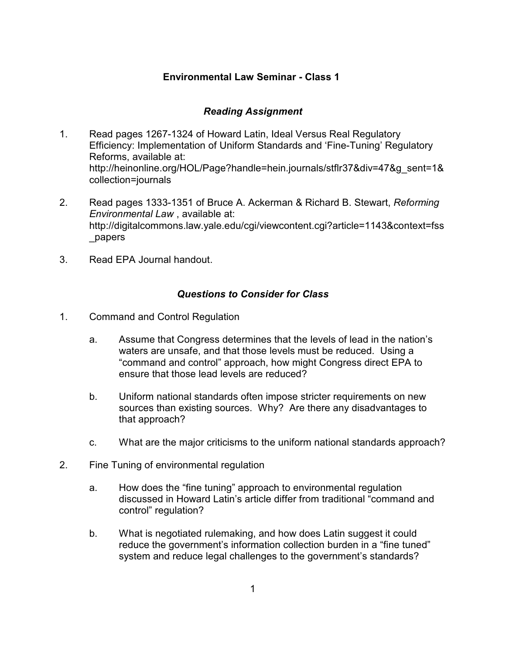## **Environmental Law Seminar - Class 1**

## *Reading Assignment*

- 1. Read pages 1267-1324 of Howard Latin, Ideal Versus Real Regulatory Efficiency: Implementation of Uniform Standards and 'Fine-Tuning' Regulatory Reforms, available at: http://heinonline.org/HOL/Page?handle=hein.journals/stflr37&div=47&g\_sent=1& collection=journals
- 2. Read pages 1333-1351 of Bruce A. Ackerman & Richard B. Stewart, *Reforming Environmental Law* , available at: http://digitalcommons.law.yale.edu/cgi/viewcontent.cgi?article=1143&context=fss \_papers
- 3. Read EPA Journal handout.

## *Questions to Consider for Class*

- 1. Command and Control Regulation
	- a. Assume that Congress determines that the levels of lead in the nation's waters are unsafe, and that those levels must be reduced. Using a "command and control" approach, how might Congress direct EPA to ensure that those lead levels are reduced?
	- b. Uniform national standards often impose stricter requirements on new sources than existing sources. Why? Are there any disadvantages to that approach?
	- c. What are the major criticisms to the uniform national standards approach?
- 2. Fine Tuning of environmental regulation
	- a. How does the "fine tuning" approach to environmental regulation discussed in Howard Latin's article differ from traditional "command and control" regulation?
	- b. What is negotiated rulemaking, and how does Latin suggest it could reduce the government's information collection burden in a "fine tuned" system and reduce legal challenges to the government's standards?